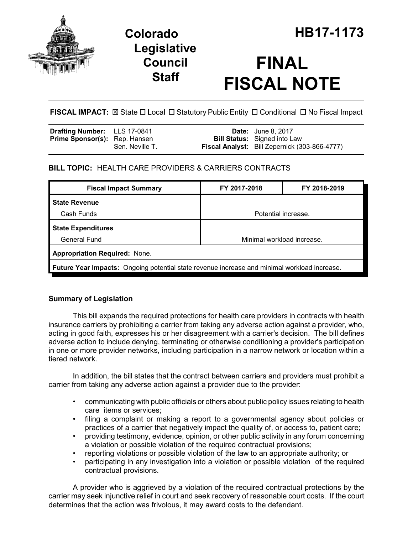

## **Legislative Council Staff**

# **FINAL FISCAL NOTE**

FISCAL IMPACT:  $\boxtimes$  State  $\Box$  Local  $\Box$  Statutory Public Entity  $\Box$  Conditional  $\Box$  No Fiscal Impact

| <b>Drafting Number:</b> LLS 17-0841  |                 | <b>Date:</b> June 8, 2017                            |
|--------------------------------------|-----------------|------------------------------------------------------|
| <b>Prime Sponsor(s):</b> Rep. Hansen |                 | <b>Bill Status:</b> Signed into Law                  |
|                                      | Sen. Neville T. | <b>Fiscal Analyst:</b> Bill Zepernick (303-866-4777) |

## **BILL TOPIC:** HEALTH CARE PROVIDERS & CARRIERS CONTRACTS

| <b>Fiscal Impact Summary</b>                                                                        | FY 2017-2018               | FY 2018-2019 |  |  |  |
|-----------------------------------------------------------------------------------------------------|----------------------------|--------------|--|--|--|
| <b>State Revenue</b>                                                                                |                            |              |  |  |  |
| Cash Funds<br>Potential increase.                                                                   |                            |              |  |  |  |
| <b>State Expenditures</b>                                                                           |                            |              |  |  |  |
| <b>General Fund</b>                                                                                 | Minimal workload increase. |              |  |  |  |
| <b>Appropriation Required: None.</b>                                                                |                            |              |  |  |  |
| <b>Future Year Impacts:</b> Ongoing potential state revenue increase and minimal workload increase. |                            |              |  |  |  |

## **Summary of Legislation**

This bill expands the required protections for health care providers in contracts with health insurance carriers by prohibiting a carrier from taking any adverse action against a provider, who, acting in good faith, expresses his or her disagreement with a carrier's decision. The bill defines adverse action to include denying, terminating or otherwise conditioning a provider's participation in one or more provider networks, including participation in a narrow network or location within a tiered network.

In addition, the bill states that the contract between carriers and providers must prohibit a carrier from taking any adverse action against a provider due to the provider:

- communicating with public officials or others about public policy issues relating to health care items or services;
- filing a complaint or making a report to a governmental agency about policies or practices of a carrier that negatively impact the quality of, or access to, patient care;
- providing testimony, evidence, opinion, or other public activity in any forum concerning a violation or possible violation of the required contractual provisions;
- reporting violations or possible violation of the law to an appropriate authority; or
- participating in any investigation into a violation or possible violation of the required contractual provisions.

A provider who is aggrieved by a violation of the required contractual protections by the carrier may seek injunctive relief in court and seek recovery of reasonable court costs. If the court determines that the action was frivolous, it may award costs to the defendant.